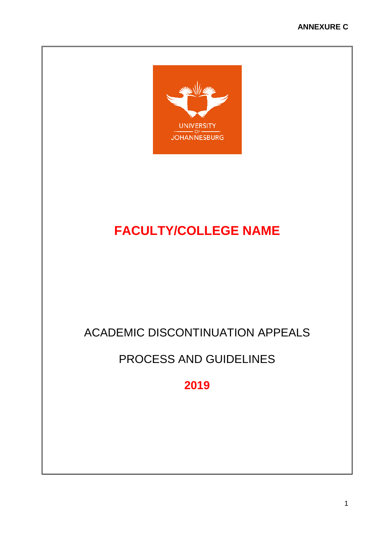

# **FACULTY/COLLEGE NAME**

# ACADEMIC DISCONTINUATION APPEALS

# PROCESS AND GUIDELINES

**2019**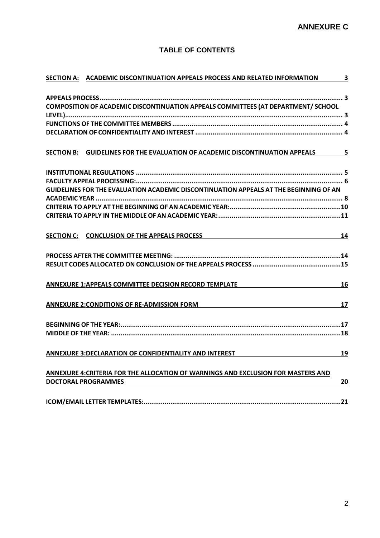# **TABLE OF CONTENTS**

| SECTION A: ACADEMIC DISCONTINUATION APPEALS PROCESS AND RELATED INFORMATION 3                        |    |
|------------------------------------------------------------------------------------------------------|----|
|                                                                                                      |    |
|                                                                                                      |    |
| COMPOSITION OF ACADEMIC DISCONTINUATION APPEALS COMMITTEES (AT DEPARTMENT/ SCHOOL                    |    |
|                                                                                                      |    |
|                                                                                                      |    |
|                                                                                                      |    |
| SECTION B: GUIDELINES FOR THE EVALUATION OF ACADEMIC DISCONTINUATION APPEALS 5                       |    |
|                                                                                                      |    |
|                                                                                                      |    |
| GUIDELINES FOR THE EVALUATION ACADEMIC DISCONTINUATION APPEALS AT THE BEGINNING OF AN                |    |
|                                                                                                      |    |
|                                                                                                      |    |
|                                                                                                      |    |
| SECTION C: CONCLUSION OF THE APPEALS PROCESS MANUSCRIPTION CONTROL CONCLUSION OF THE APPEALS PROCESS | 14 |
|                                                                                                      |    |
|                                                                                                      |    |
|                                                                                                      |    |
| ANNEXURE 1:APPEALS COMMITTEE DECISION RECORD TEMPLATE                                                | 16 |
| <b>ANNEXURE 2: CONDITIONS OF RE-ADMISSION FORM</b>                                                   | 17 |
|                                                                                                      |    |
|                                                                                                      |    |
| ANNEXURE 3:DECLARATION OF CONFIDENTIALITY AND INTEREST                                               | 19 |
|                                                                                                      |    |
| ANNEXURE 4: CRITERIA FOR THE ALLOCATION OF WARNINGS AND EXCLUSION FOR MASTERS AND                    |    |
| <b>DOCTORAL PROGRAMMES</b>                                                                           | 20 |
|                                                                                                      |    |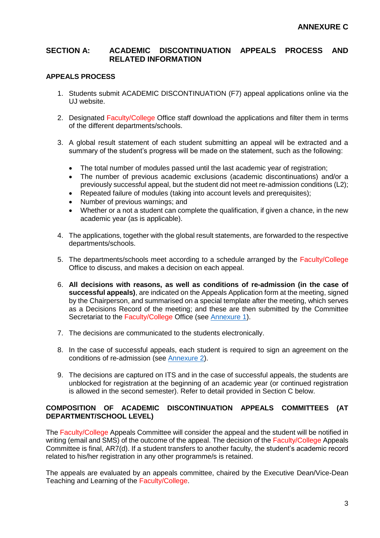## <span id="page-2-0"></span>**SECTION A: ACADEMIC DISCONTINUATION APPEALS PROCESS AND RELATED INFORMATION**

#### <span id="page-2-1"></span>**APPEALS PROCESS**

- 1. Students submit ACADEMIC DISCONTINUATION (F7) appeal applications online via the UJ website.
- 2. Designated Faculty/College Office staff download the applications and filter them in terms of the different departments/schools.
- 3. A global result statement of each student submitting an appeal will be extracted and a summary of the student's progress will be made on the statement, such as the following:
	- The total number of modules passed until the last academic year of registration;
	- The number of previous academic exclusions (academic discontinuations) and/or a previously successful appeal, but the student did not meet re-admission conditions (L2);
	- Repeated failure of modules (taking into account levels and prerequisites);
	- Number of previous warnings; and
	- Whether or a not a student can complete the qualification, if given a chance, in the new academic year (as is applicable).
- 4. The applications, together with the global result statements, are forwarded to the respective departments/schools.
- 5. The departments/schools meet according to a schedule arranged by the Faculty/College Office to discuss, and makes a decision on each appeal.
- 6. **All decisions with reasons, as well as conditions of re-admission (in the case of successful appeals)**, are indicated on the Appeals Application form at the meeting, signed by the Chairperson, and summarised on a special template after the meeting, which serves as a Decisions Record of the meeting; and these are then submitted by the Committee Secretariat to the Faculty/College Office (see [Annexure 1\)](#page-15-0).
- 7. The decisions are communicated to the students electronically.
- 8. In the case of successful appeals, each student is required to sign an agreement on the conditions of re-admission (see [Annexure 2\)](#page-16-0).
- 9. The decisions are captured on ITS and in the case of successful appeals, the students are unblocked for registration at the beginning of an academic year (or continued registration is allowed in the second semester). Refer to detail provided in Section C below.

### <span id="page-2-2"></span>**COMPOSITION OF ACADEMIC DISCONTINUATION APPEALS COMMITTEES (AT DEPARTMENT/SCHOOL LEVEL)**

The Faculty/College Appeals Committee will consider the appeal and the student will be notified in writing (email and SMS) of the outcome of the appeal. The decision of the Faculty/College Appeals Committee is final, AR7(d). If a student transfers to another faculty, the student's academic record related to his/her registration in any other programme/s is retained.

The appeals are evaluated by an appeals committee, chaired by the Executive Dean/Vice-Dean Teaching and Learning of the Faculty/College.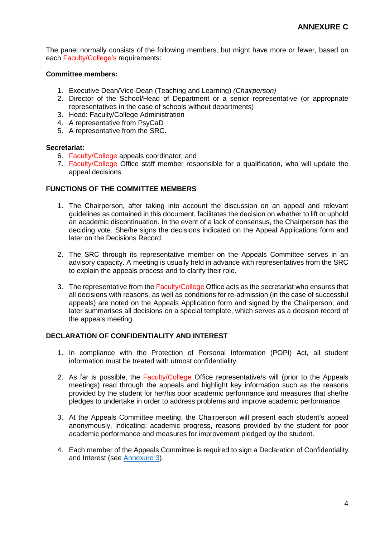The panel normally consists of the following members, but might have more or fewer, based on each Faculty/College's requirements:

#### **Committee members:**

- 1. Executive Dean/Vice-Dean (Teaching and Learning) *(Chairperson)*
- 2. Director of the School/Head of Department or a senior representative (or appropriate representatives in the case of schools without departments)
- 3. Head: Faculty/College Administration
- 4. A representative from PsyCaD
- 5. A representative from the SRC.

#### **Secretariat:**

- 6. Faculty/College appeals coordinator; and
- 7. Faculty/College Office staff member responsible for a qualification, who will update the appeal decisions.

#### <span id="page-3-0"></span>**FUNCTIONS OF THE COMMITTEE MEMBERS**

- 1. The Chairperson, after taking into account the discussion on an appeal and relevant guidelines as contained in this document, facilitates the decision on whether to lift or uphold an academic discontinuation. In the event of a lack of consensus, the Chairperson has the deciding vote. She/he signs the decisions indicated on the Appeal Applications form and later on the Decisions Record.
- 2. The SRC through its representative member on the Appeals Committee serves in an advisory capacity. A meeting is usually held in advance with representatives from the SRC to explain the appeals process and to clarify their role.
- 3. The representative from the Faculty/College Office acts as the secretariat who ensures that all decisions with reasons, as well as conditions for re-admission (in the case of successful appeals) are noted on the Appeals Application form and signed by the Chairperson; and later summarises all decisions on a special template, which serves as a decision record of the appeals meeting.

#### <span id="page-3-1"></span>**DECLARATION OF CONFIDENTIALITY AND INTEREST**

- 1. In compliance with the Protection of Personal Information (POPI) Act, all student information must be treated with utmost confidentiality.
- 2. As far is possible, the Faculty/College Office representative/s will (prior to the Appeals meetings) read through the appeals and highlight key information such as the reasons provided by the student for her/his poor academic performance and measures that she/he pledges to undertake in order to address problems and improve academic performance.
- 3. At the Appeals Committee meeting, the Chairperson will present each student's appeal anonymously, indicating: academic progress, reasons provided by the student for poor academic performance and measures for improvement pledged by the student.
- 4. Each member of the Appeals Committee is required to sign a Declaration of Confidentiality and Interest (see [Annexure 3\)](#page-18-0).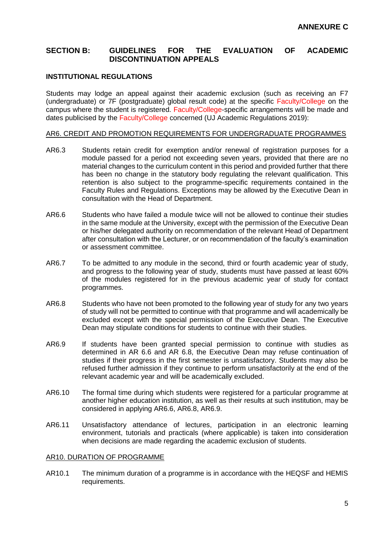## <span id="page-4-0"></span>**SECTION B: GUIDELINES FOR THE EVALUATION OF ACADEMIC DISCONTINUATION APPEALS**

#### <span id="page-4-1"></span>**INSTITUTIONAL REGULATIONS**

Students may lodge an appeal against their academic exclusion (such as receiving an F7 (undergraduate) or 7F (postgraduate) global result code) at the specific Faculty/College on the campus where the student is registered. Faculty/College-specific arrangements will be made and dates publicised by the Faculty/College concerned (UJ Academic Regulations 2019):

#### AR6. CREDIT AND PROMOTION REQUIREMENTS FOR UNDERGRADUATE PROGRAMMES

- AR6.3 Students retain credit for exemption and/or renewal of registration purposes for a module passed for a period not exceeding seven years, provided that there are no material changes to the curriculum content in this period and provided further that there has been no change in the statutory body regulating the relevant qualification. This retention is also subject to the programme-specific requirements contained in the Faculty Rules and Regulations. Exceptions may be allowed by the Executive Dean in consultation with the Head of Department.
- AR6.6 Students who have failed a module twice will not be allowed to continue their studies in the same module at the University, except with the permission of the Executive Dean or his/her delegated authority on recommendation of the relevant Head of Department after consultation with the Lecturer, or on recommendation of the faculty's examination or assessment committee.
- AR6.7 To be admitted to any module in the second, third or fourth academic year of study, and progress to the following year of study, students must have passed at least 60% of the modules registered for in the previous academic year of study for contact programmes.
- AR6.8 Students who have not been promoted to the following year of study for any two years of study will not be permitted to continue with that programme and will academically be excluded except with the special permission of the Executive Dean. The Executive Dean may stipulate conditions for students to continue with their studies.
- AR6.9 If students have been granted special permission to continue with studies as determined in AR 6.6 and AR 6.8, the Executive Dean may refuse continuation of studies if their progress in the first semester is unsatisfactory. Students may also be refused further admission if they continue to perform unsatisfactorily at the end of the relevant academic year and will be academically excluded.
- AR6.10 The formal time during which students were registered for a particular programme at another higher education institution, as well as their results at such institution, may be considered in applying AR6.6, AR6.8, AR6.9.
- AR6.11 Unsatisfactory attendance of lectures, participation in an electronic learning environment, tutorials and practicals (where applicable) is taken into consideration when decisions are made regarding the academic exclusion of students.

#### AR10. DURATION OF PROGRAMME

AR10.1 The minimum duration of a programme is in accordance with the HEQSF and HEMIS requirements.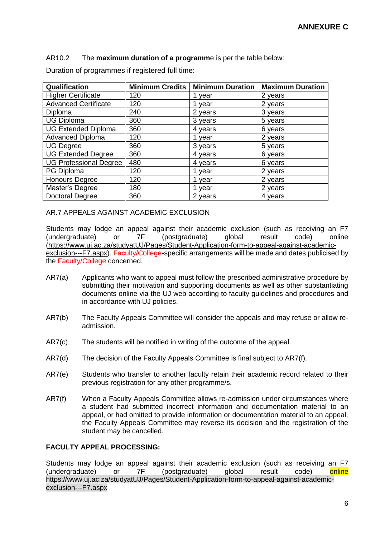AR10.2 The **maximum duration of a programm**e is per the table below:

| Qualification                 | <b>Minimum Credits</b> | <b>Minimum Duration</b> | <b>Maximum Duration</b> |
|-------------------------------|------------------------|-------------------------|-------------------------|
| <b>Higher Certificate</b>     | 120                    | 1 year                  | 2 years                 |
| <b>Advanced Certificate</b>   | 120                    | 1 year                  | 2 years                 |
| Diploma                       | 240                    | 2 years                 | 3 years                 |
| <b>UG Diploma</b>             | 360                    | 3 years                 | 5 years                 |
| <b>UG Extended Diploma</b>    | 360                    | 4 years                 | 6 years                 |
| Advanced Diploma              | 120                    | 1 year                  | 2 years                 |
| <b>UG Degree</b>              | 360                    | 3 years                 | 5 years                 |
| <b>UG Extended Degree</b>     | 360                    | 4 years                 | 6 years                 |
| <b>UG Professional Degree</b> | 480                    | 4 years                 | 6 years                 |
| PG Diploma                    | 120                    | 1 year                  | 2 years                 |
| <b>Honours Degree</b>         | 120                    | 1 year                  | 2 years                 |
| Master's Degree               | 180                    | vear                    | 2 years                 |
| Doctoral Degree               | 360                    | 2 years                 | 4 years                 |

Duration of programmes if registered full time:

#### AR.7 APPEALS AGAINST ACADEMIC EXCLUSION

Students may lodge an appeal against their academic exclusion (such as receiving an F7 (undergraduate) or 7F (postgraduate) global result code) online [\(https://www.uj.ac.za/studyatUJ/Pages/Student-Application-form-to-appeal-against-academic](https://www.uj.ac.za/studyatUJ/Pages/Student-Application-form-to-appeal-against-academic-exclusion---F7.aspx)[exclusion---F7.aspx\)](https://www.uj.ac.za/studyatUJ/Pages/Student-Application-form-to-appeal-against-academic-exclusion---F7.aspx). Faculty/College-specific arrangements will be made and dates publicised by the Faculty/College concerned.

- AR7(a) Applicants who want to appeal must follow the prescribed administrative procedure by submitting their motivation and supporting documents as well as other substantiating documents online via the UJ web according to faculty guidelines and procedures and in accordance with UJ policies.
- AR7(b) The Faculty Appeals Committee will consider the appeals and may refuse or allow readmission.
- AR7(c) The students will be notified in writing of the outcome of the appeal.
- AR7(d) The decision of the Faculty Appeals Committee is final subject to AR7(f).
- AR7(e) Students who transfer to another faculty retain their academic record related to their previous registration for any other programme/s.
- AR7(f) When a Faculty Appeals Committee allows re-admission under circumstances where a student had submitted incorrect information and documentation material to an appeal, or had omitted to provide information or documentation material to an appeal, the Faculty Appeals Committee may reverse its decision and the registration of the student may be cancelled.

#### <span id="page-5-0"></span>**FACULTY APPEAL PROCESSING:**

Students may lodge an appeal against their academic exclusion (such as receiving an F7 (undergraduate) or 7F (postgraduate) global result code) online [https://www.uj.ac.za/studyatUJ/Pages/Student-Application-form-to-appeal-against-academic](https://www.uj.ac.za/studyatUJ/Pages/Student-Application-form-to-appeal-against-academic-exclusion---F7.aspx)[exclusion---F7.aspx](https://www.uj.ac.za/studyatUJ/Pages/Student-Application-form-to-appeal-against-academic-exclusion---F7.aspx)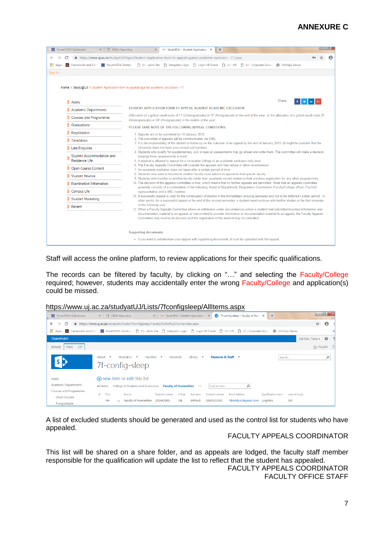# **ANNEXURE C**

| PowerHEDA Dashboard | P HEDA Reporting<br>$\times$   | $\times$                                                                                                                                                                                                                                                                                                                                                                                                                                                                                                                                                                                                                                                                                                                                                                                                                                    | K⊁ Study@UJ - Student Application X | $\ddot{}$ |  |  |                                                                                                                                            |  | <b>- 4</b> |  |
|---------------------|--------------------------------|---------------------------------------------------------------------------------------------------------------------------------------------------------------------------------------------------------------------------------------------------------------------------------------------------------------------------------------------------------------------------------------------------------------------------------------------------------------------------------------------------------------------------------------------------------------------------------------------------------------------------------------------------------------------------------------------------------------------------------------------------------------------------------------------------------------------------------------------|-------------------------------------|-----------|--|--|--------------------------------------------------------------------------------------------------------------------------------------------|--|------------|--|
| С                   |                                | A https://www.uj.ac.za/studyatUJ/Pages/Student-Application-form-to-appeal-against-academic-exclusion---F7.aspx                                                                                                                                                                                                                                                                                                                                                                                                                                                                                                                                                                                                                                                                                                                              |                                     |           |  |  |                                                                                                                                            |  |            |  |
| <b>H</b> Apps       |                                | G Frameworks and Crite   PowerHEDA Dashboa   [٩ UJ - uLink Site   ٩ Integrator Login   ٩ Login HR Oracle   ٩ UJ - HR   ٩ UJ - Corporate Gover                                                                                                                                                                                                                                                                                                                                                                                                                                                                                                                                                                                                                                                                                               |                                     |           |  |  | <b><i><sup>O</sup></i></b> InfoSlips Viewer                                                                                                |  |            |  |
| Sign In             |                                |                                                                                                                                                                                                                                                                                                                                                                                                                                                                                                                                                                                                                                                                                                                                                                                                                                             |                                     |           |  |  |                                                                                                                                            |  |            |  |
|                     |                                |                                                                                                                                                                                                                                                                                                                                                                                                                                                                                                                                                                                                                                                                                                                                                                                                                                             |                                     |           |  |  |                                                                                                                                            |  |            |  |
|                     |                                | Home $\mathcal Y$ Study@UJ $\mathcal Y$ Student Application form to appeal against academic exclusion - F7                                                                                                                                                                                                                                                                                                                                                                                                                                                                                                                                                                                                                                                                                                                                  |                                     |           |  |  |                                                                                                                                            |  |            |  |
|                     |                                |                                                                                                                                                                                                                                                                                                                                                                                                                                                                                                                                                                                                                                                                                                                                                                                                                                             |                                     |           |  |  |                                                                                                                                            |  |            |  |
| $\lambda$ Apply     |                                |                                                                                                                                                                                                                                                                                                                                                                                                                                                                                                                                                                                                                                                                                                                                                                                                                                             |                                     |           |  |  | Share:                                                                                                                                     |  |            |  |
|                     | Academic Departments           | STUDENT APPLICATION FORM TO APPEAL AGAINST ACADEMIC EXCLUSION                                                                                                                                                                                                                                                                                                                                                                                                                                                                                                                                                                                                                                                                                                                                                                               |                                     |           |  |  |                                                                                                                                            |  |            |  |
|                     | Courses and Programmes         | (Allocation of a global result code of F7 (Undergraduate) or 7F (Postgraduate at the end of the year; or the allocation of a global result code BF<br>(Undergraduate) or DF (Postgraduate) in the middle of the year.                                                                                                                                                                                                                                                                                                                                                                                                                                                                                                                                                                                                                       |                                     |           |  |  |                                                                                                                                            |  |            |  |
| Graduations         |                                | PLEASE TAKE NOTE OF THE FOLLOWING APPEAL CONDITIONS:                                                                                                                                                                                                                                                                                                                                                                                                                                                                                                                                                                                                                                                                                                                                                                                        |                                     |           |  |  |                                                                                                                                            |  |            |  |
| Registration        |                                | 1. Appeals are to be submitted by 18 Janaury 2018.                                                                                                                                                                                                                                                                                                                                                                                                                                                                                                                                                                                                                                                                                                                                                                                          |                                     |           |  |  |                                                                                                                                            |  |            |  |
| ) Timetables        |                                | 2. The outcomes of appeals will be communicated via SMS.<br>3. It is the responsibility of the student to follow up on the outcome of an appeal by the end of January 2019. (It might be possible that the<br>University does not have your correct cell number).<br>4. Students who qualify for supplementary, sick or special assessments may go ahead and write them. The committee will make a decision<br>keeping these assessments in mind.<br>5. A student is allowed to appeal for a revocation (lifting) of an academic exclusion only once.<br>6. The Faculty Appeals Committee will consider the appeals and may refuse or allow re-admission.<br>7. An academic exclusion does not lapse after a certain period of time.<br>8. Students who want to transfer to another faculty must submit an appeal to that specific faculty. |                                     |           |  |  |                                                                                                                                            |  |            |  |
|                     | <b>Late Enquiries</b>          |                                                                                                                                                                                                                                                                                                                                                                                                                                                                                                                                                                                                                                                                                                                                                                                                                                             |                                     |           |  |  |                                                                                                                                            |  |            |  |
|                     | Student Accommodation and      |                                                                                                                                                                                                                                                                                                                                                                                                                                                                                                                                                                                                                                                                                                                                                                                                                                             |                                     |           |  |  |                                                                                                                                            |  |            |  |
|                     | <b>Residence Life</b>          |                                                                                                                                                                                                                                                                                                                                                                                                                                                                                                                                                                                                                                                                                                                                                                                                                                             |                                     |           |  |  |                                                                                                                                            |  |            |  |
|                     | Open Course Content            |                                                                                                                                                                                                                                                                                                                                                                                                                                                                                                                                                                                                                                                                                                                                                                                                                                             |                                     |           |  |  |                                                                                                                                            |  |            |  |
|                     | Student Finance                | 9. Students who transfer to another faculty retain their academic record related to their previous registration for any other programme/s.                                                                                                                                                                                                                                                                                                                                                                                                                                                                                                                                                                                                                                                                                                  |                                     |           |  |  |                                                                                                                                            |  |            |  |
|                     | <b>Examination Information</b> | 10. The decision of the appeals committee is final, which means that no further appeals are permitted. Note that an appeals committee                                                                                                                                                                                                                                                                                                                                                                                                                                                                                                                                                                                                                                                                                                       |                                     |           |  |  | generally consists of a combination of the following: Head of Department, Programme Coordinator, Faculty/College officer, PsyCaD           |  |            |  |
| Campus Life         |                                | representative and a SRC member.                                                                                                                                                                                                                                                                                                                                                                                                                                                                                                                                                                                                                                                                                                                                                                                                            |                                     |           |  |  |                                                                                                                                            |  |            |  |
|                     | Student Marketing              | 11. A successful appeal is valid for the continuation of studies in the immediately ensuing semester and not to be deferred t a later period. In                                                                                                                                                                                                                                                                                                                                                                                                                                                                                                                                                                                                                                                                                            |                                     |           |  |  | other words, for a successful appeal at the end of the second semester, a student must continue with his/her studies in the first semester |  |            |  |
| >> Recent           |                                | of the following year.<br>12. When a Faculty Appeals Committee allows re-admission under circumstances where a student had submitted incorrect information and                                                                                                                                                                                                                                                                                                                                                                                                                                                                                                                                                                                                                                                                              |                                     |           |  |  |                                                                                                                                            |  |            |  |
|                     |                                |                                                                                                                                                                                                                                                                                                                                                                                                                                                                                                                                                                                                                                                                                                                                                                                                                                             |                                     |           |  |  | documentation material to an appeal, or had omitted to provide information or documentation material to an appeal, the Faculty Appeals     |  |            |  |
|                     |                                | Committee may reverse its decision and the registration of the student may be cancelled.                                                                                                                                                                                                                                                                                                                                                                                                                                                                                                                                                                                                                                                                                                                                                    |                                     |           |  |  |                                                                                                                                            |  |            |  |
|                     |                                | <b>Supporting documents:</b>                                                                                                                                                                                                                                                                                                                                                                                                                                                                                                                                                                                                                                                                                                                                                                                                                |                                     |           |  |  |                                                                                                                                            |  |            |  |
|                     |                                | • If you want to substantiate your appeal with supporting documents, it must be uploaded with the appeal.                                                                                                                                                                                                                                                                                                                                                                                                                                                                                                                                                                                                                                                                                                                                   |                                     |           |  |  |                                                                                                                                            |  |            |  |
|                     |                                |                                                                                                                                                                                                                                                                                                                                                                                                                                                                                                                                                                                                                                                                                                                                                                                                                                             |                                     |           |  |  |                                                                                                                                            |  |            |  |

Staff will access the online platform, to review applications for their specific qualifications.

The records can be filtered by faculty, by clicking on "..." and selecting the Faculty/College required; however, students may accidentally enter the wrong Faculty/College and application(s) could be missed.

<https://www.uj.ac.za/studyatUJ/Lists/7fconfigsleep/AllItems.aspx>

| PowerHEDA Dashboard                                            | <b>F</b> HEDA Reporting<br>I Study@UJ - Student Application X<br>S 7f-config-sleep - Faculty of Huma X<br>$+$<br>$\times$<br>$\times$                                                                                                                                                     | $-0$<br>$\mathbf{x}$       |
|----------------------------------------------------------------|-------------------------------------------------------------------------------------------------------------------------------------------------------------------------------------------------------------------------------------------------------------------------------------------|----------------------------|
| C<br>$\leftarrow$<br>$\rightarrow$                             | ■ https://www.uj.ac.za/studyatUJ/Lists/7fconfigsleep/Faculty%20of%20Humanities.aspx                                                                                                                                                                                                       | ☆<br>$\boldsymbol{\Theta}$ |
| <b>III</b> Apps<br><b>B</b> Frameworks and Crite               | <b>D</b> UJ - uLink Site<br>The Integrator Login The Login HR Oracle The UJ - HR The UJ - Corporate Govern<br><b>PowerHEDA Dashboa</b><br><b><i>CD</i></b> InfoSlips Viewer                                                                                                               | $\rightarrow$              |
| <b>SharePoint</b>                                              |                                                                                                                                                                                                                                                                                           | 登<br>Dal Mas, Tania -      |
| <b>ITEMS</b><br><b>LIST</b><br><b>BROWSE</b>                   |                                                                                                                                                                                                                                                                                           | $\Sigma$ FOLLOW            |
| sD                                                             | Faculties <b>*</b><br>About<br>Study@UJ<br>Students & Staff +<br>Research<br>Library <b>*</b><br>$\overline{\phantom{a}}$<br>$\overline{\phantom{a}}$<br>Search<br>7f-config-sleep                                                                                                        | ٩                          |
| Apply                                                          | (+) new item or edit this list                                                                                                                                                                                                                                                            |                            |
| <b>Academic Departments</b>                                    | α<br>College of Business and Economics<br><b>Faculty of Humanities</b><br>Find an item<br>All Items<br>                                                                                                                                                                                   |                            |
| Courses and Programmes<br><b>Short Courses</b><br>Postgraduate | Title<br>$\checkmark$<br>Initials<br>Qualification name<br>Level of study<br>Faculty<br>Student number<br><b>Email Address</b><br>Surname<br>Contact number<br>Mhlauli<br>3rd<br>Faculty of Humanities 201442089<br><b>Nk</b><br>Nkmhlauli@gmail.com<br>Mr<br>0840351559<br>Logistics<br> |                            |

A list of excluded students should be generated and used as the control list for students who have appealed.

# FACULTY APPEALS COORDINATOR

This list will be shared on a share folder, and as appeals are lodged, the faculty staff member responsible for the qualification will update the list to reflect that the student has appealed. FACULTY APPEALS COORDINATOR

FACULTY OFFICE STAFF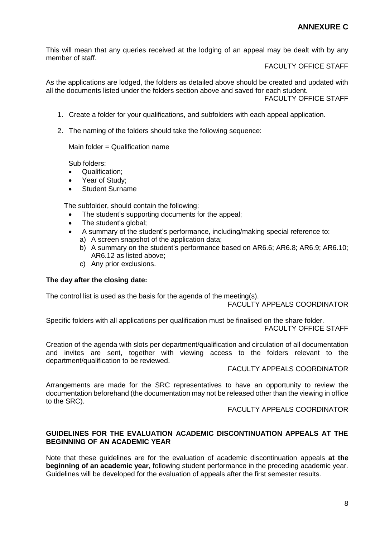This will mean that any queries received at the lodging of an appeal may be dealt with by any member of staff.

FACULTY OFFICE STAFF

As the applications are lodged, the folders as detailed above should be created and updated with all the documents listed under the folders section above and saved for each student. FACULTY OFFICE STAFF

1. Create a folder for your qualifications, and subfolders with each appeal application.

2. The naming of the folders should take the following sequence:

Main folder = Qualification name

Sub folders:

- Qualification;
- Year of Study;
- Student Surname

The subfolder, should contain the following:

- The student's supporting documents for the appeal;
- The student's global:
- A summary of the student's performance, including/making special reference to:
	- a) A screen snapshot of the application data;
	- b) A summary on the student's performance based on AR6.6; AR6.8; AR6.9; AR6.10; AR6.12 as listed above;
	- c) Any prior exclusions.

#### **The day after the closing date:**

The control list is used as the basis for the agenda of the meeting(s).

#### FACULTY APPEALS COORDINATOR

Specific folders with all applications per qualification must be finalised on the share folder. FACULTY OFFICE STAFF

Creation of the agenda with slots per department/qualification and circulation of all documentation and invites are sent, together with viewing access to the folders relevant to the department/qualification to be reviewed.

#### FACULTY APPEALS COORDINATOR

Arrangements are made for the SRC representatives to have an opportunity to review the documentation beforehand (the documentation may not be released other than the viewing in office to the SRC).

FACULTY APPEALS COORDINATOR

#### <span id="page-7-0"></span>**GUIDELINES FOR THE EVALUATION ACADEMIC DISCONTINUATION APPEALS AT THE BEGINNING OF AN ACADEMIC YEAR**

Note that these guidelines are for the evaluation of academic discontinuation appeals **at the beginning of an academic year,** following student performance in the preceding academic year. Guidelines will be developed for the evaluation of appeals after the first semester results.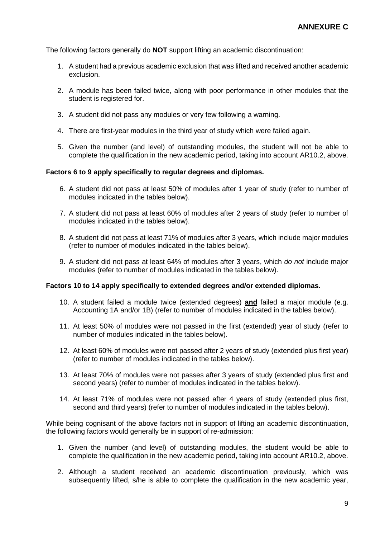The following factors generally do **NOT** support lifting an academic discontinuation:

- 1. A student had a previous academic exclusion that was lifted and received another academic exclusion.
- 2. A module has been failed twice, along with poor performance in other modules that the student is registered for.
- 3. A student did not pass any modules or very few following a warning.
- 4. There are first-year modules in the third year of study which were failed again.
- 5. Given the number (and level) of outstanding modules, the student will not be able to complete the qualification in the new academic period, taking into account AR10.2, above.

#### **Factors 6 to 9 apply specifically to regular degrees and diplomas.**

- 6. A student did not pass at least 50% of modules after 1 year of study (refer to number of modules indicated in the tables below).
- 7. A student did not pass at least 60% of modules after 2 years of study (refer to number of modules indicated in the tables below).
- 8. A student did not pass at least 71% of modules after 3 years, which include major modules (refer to number of modules indicated in the tables below).
- 9. A student did not pass at least 64% of modules after 3 years, which *do not* include major modules (refer to number of modules indicated in the tables below).

#### **Factors 10 to 14 apply specifically to extended degrees and/or extended diplomas.**

- 10. A student failed a module twice (extended degrees) **and** failed a major module (e.g. Accounting 1A and/or 1B) (refer to number of modules indicated in the tables below).
- 11. At least 50% of modules were not passed in the first (extended) year of study (refer to number of modules indicated in the tables below).
- 12. At least 60% of modules were not passed after 2 years of study (extended plus first year) (refer to number of modules indicated in the tables below).
- 13. At least 70% of modules were not passes after 3 years of study (extended plus first and second years) (refer to number of modules indicated in the tables below).
- 14. At least 71% of modules were not passed after 4 years of study (extended plus first, second and third years) (refer to number of modules indicated in the tables below).

While being cognisant of the above factors not in support of lifting an academic discontinuation, the following factors would generally be in support of re-admission:

- 1. Given the number (and level) of outstanding modules, the student would be able to complete the qualification in the new academic period, taking into account AR10.2, above.
- 2. Although a student received an academic discontinuation previously, which was subsequently lifted, s/he is able to complete the qualification in the new academic year,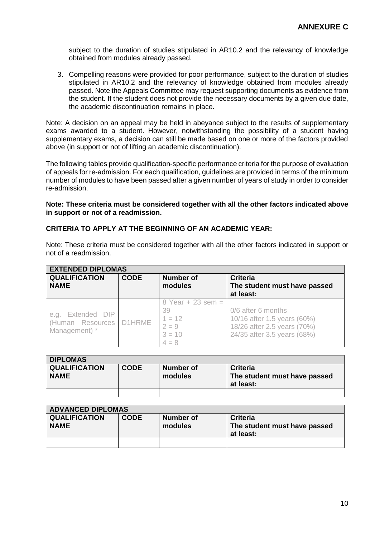subject to the duration of studies stipulated in AR10.2 and the relevancy of knowledge obtained from modules already passed.

3. Compelling reasons were provided for poor performance, subject to the duration of studies stipulated in AR10.2 and the relevancy of knowledge obtained from modules already passed. Note the Appeals Committee may request supporting documents as evidence from the student. If the student does not provide the necessary documents by a given due date, the academic discontinuation remains in place.

Note: A decision on an appeal may be held in abeyance subject to the results of supplementary exams awarded to a student. However, notwithstanding the possibility of a student having supplementary exams, a decision can still be made based on one or more of the factors provided above (in support or not of lifting an academic discontinuation).

The following tables provide qualification-specific performance criteria for the purpose of evaluation of appeals for re-admission. For each qualification, guidelines are provided in terms of the minimum number of modules to have been passed after a given number of years of study in order to consider re-admission.

#### **Note: These criteria must be considered together with all the other factors indicated above in support or not of a readmission.**

#### <span id="page-9-0"></span>**CRITERIA TO APPLY AT THE BEGINNING OF AN ACADEMIC YEAR:**

| Note: These criteria must be considered together with all the other factors indicated in support or |  |  |  |  |  |
|-----------------------------------------------------------------------------------------------------|--|--|--|--|--|
| not of a readmission.                                                                               |  |  |  |  |  |

| <b>EXTENDED DIPLOMAS</b>                               |             |                                                                         |                                                                                                                 |  |  |  |
|--------------------------------------------------------|-------------|-------------------------------------------------------------------------|-----------------------------------------------------------------------------------------------------------------|--|--|--|
| <b>QUALIFICATION</b><br><b>NAME</b>                    | <b>CODE</b> | <b>Number of</b><br>modules                                             | <b>Criteria</b><br>The student must have passed<br>at least:                                                    |  |  |  |
| e.g. Extended DIP<br>(Human Resources<br>Management) * | D1HRME      | $8$ Year + 23 sem =<br>39<br>$1 = 12$<br>$2 = 9$<br>$3 = 10$<br>$4 = 8$ | 0/6 after 6 months<br>10/16 after 1.5 years (60%)<br>18/26 after 2.5 years (70%)<br>24/35 after 3.5 years (68%) |  |  |  |

| <b>DIPLOMAS</b>      |             |           |                              |  |  |  |
|----------------------|-------------|-----------|------------------------------|--|--|--|
| <b>QUALIFICATION</b> | <b>CODE</b> | Number of | <b>Criteria</b>              |  |  |  |
| <b>NAME</b>          |             | modules   | The student must have passed |  |  |  |
|                      |             |           | at least:                    |  |  |  |
|                      |             |           |                              |  |  |  |

| <b>ADVANCED DIPLOMAS</b>            |             |                      |                                                              |  |  |  |
|-------------------------------------|-------------|----------------------|--------------------------------------------------------------|--|--|--|
| <b>QUALIFICATION</b><br><b>NAME</b> | <b>CODE</b> | Number of<br>modules | <b>Criteria</b><br>The student must have passed<br>at least: |  |  |  |
|                                     |             |                      |                                                              |  |  |  |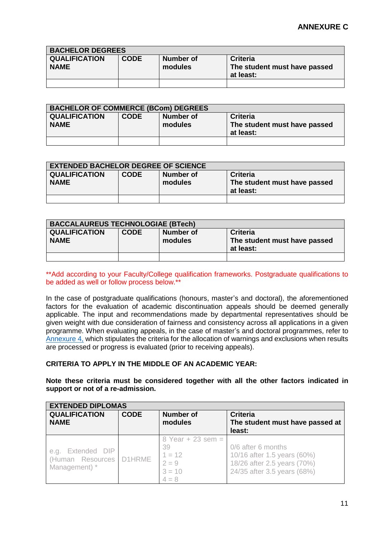| <b>BACHELOR DEGREES</b>             |             |                      |                                                              |  |  |  |
|-------------------------------------|-------------|----------------------|--------------------------------------------------------------|--|--|--|
| <b>QUALIFICATION</b><br><b>NAME</b> | <b>CODE</b> | Number of<br>modules | <b>Criteria</b><br>The student must have passed<br>at least: |  |  |  |
|                                     |             |                      |                                                              |  |  |  |

| <b>BACHELOR OF COMMERCE (BCom) DEGREES</b> |             |                      |                                                              |  |  |  |
|--------------------------------------------|-------------|----------------------|--------------------------------------------------------------|--|--|--|
| <b>QUALIFICATION</b><br><b>NAME</b>        | <b>CODE</b> | Number of<br>modules | <b>Criteria</b><br>The student must have passed<br>at least: |  |  |  |
|                                            |             |                      |                                                              |  |  |  |

| <b>EXTENDED BACHELOR DEGREE OF SCIENCE</b> |             |                      |                                                              |  |  |  |
|--------------------------------------------|-------------|----------------------|--------------------------------------------------------------|--|--|--|
| <b>QUALIFICATION</b><br><b>NAME</b>        | <b>CODE</b> | Number of<br>modules | <b>Criteria</b><br>The student must have passed<br>at least: |  |  |  |
|                                            |             |                      |                                                              |  |  |  |

| <b>BACCALAUREUS TECHNOLOGIAE (BTech)</b> |             |                      |                                                              |  |  |
|------------------------------------------|-------------|----------------------|--------------------------------------------------------------|--|--|
| <b>QUALIFICATION</b><br><b>NAME</b>      | <b>CODE</b> | Number of<br>modules | <b>Criteria</b><br>The student must have passed<br>at least: |  |  |
|                                          |             |                      |                                                              |  |  |

\*\*Add according to your Faculty/College qualification frameworks. Postgraduate qualifications to be added as well or follow process below.\*\*

In the case of postgraduate qualifications (honours, master's and doctoral), the aforementioned factors for the evaluation of academic discontinuation appeals should be deemed generally applicable. The input and recommendations made by departmental representatives should be given weight with due consideration of fairness and consistency across all applications in a given programme. When evaluating appeals, in the case of master's and doctoral programmes, refer to [Annexure 4,](#page-19-0) which stipulates the criteria for the allocation of warnings and exclusions when results are processed or progress is evaluated (prior to receiving appeals).

#### <span id="page-10-0"></span>**CRITERIA TO APPLY IN THE MIDDLE OF AN ACADEMIC YEAR:**

**Note these criteria must be considered together with all the other factors indicated in support or not of a re-admission.**

| <b>EXTENDED DIPLOMAS</b>                                  |             |                                                                         |                                                                                                                 |  |
|-----------------------------------------------------------|-------------|-------------------------------------------------------------------------|-----------------------------------------------------------------------------------------------------------------|--|
| <b>QUALIFICATION</b><br><b>NAME</b>                       | <b>CODE</b> | Number of<br>modules                                                    | <b>Criteria</b><br>The student must have passed at<br>least:                                                    |  |
| Extended DIP<br>e.g.<br>(Human Resources<br>Management) * | D1HRME      | $8$ Year + 23 sem =<br>39<br>$1 = 12$<br>$2 = 9$<br>$3 = 10$<br>$4 = 8$ | 0/6 after 6 months<br>10/16 after 1.5 years (60%)<br>18/26 after 2.5 years (70%)<br>24/35 after 3.5 years (68%) |  |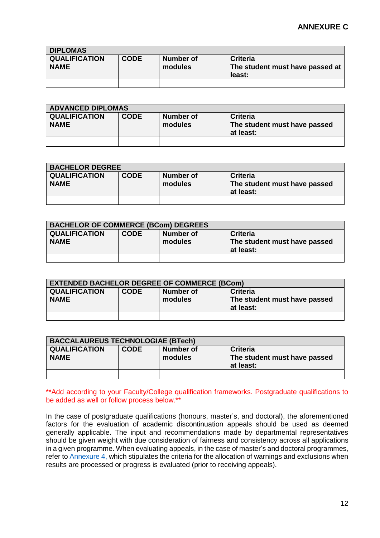| <b>DIPLOMAS</b>                     |             |                      |                                                              |
|-------------------------------------|-------------|----------------------|--------------------------------------------------------------|
| <b>QUALIFICATION</b><br><b>NAME</b> | <b>CODE</b> | Number of<br>modules | <b>Criteria</b><br>The student must have passed at<br>least: |
|                                     |             |                      |                                                              |

| <b>ADVANCED DIPLOMAS</b>            |             |                      |                                                              |
|-------------------------------------|-------------|----------------------|--------------------------------------------------------------|
| <b>QUALIFICATION</b><br><b>NAME</b> | <b>CODE</b> | Number of<br>modules | <b>Criteria</b><br>The student must have passed<br>at least: |
|                                     |             |                      |                                                              |

| <b>BACHELOR DEGREE</b>              |             |                      |                                                              |
|-------------------------------------|-------------|----------------------|--------------------------------------------------------------|
| <b>QUALIFICATION</b><br><b>NAME</b> | <b>CODE</b> | Number of<br>modules | <b>Criteria</b><br>The student must have passed<br>at least: |
|                                     |             |                      |                                                              |

| <b>BACHELOR OF COMMERCE (BCom) DEGREES</b> |             |                      |                                                              |
|--------------------------------------------|-------------|----------------------|--------------------------------------------------------------|
| <b>QUALIFICATION</b><br><b>NAME</b>        | <b>CODE</b> | Number of<br>modules | <b>Criteria</b><br>The student must have passed<br>at least: |
|                                            |             |                      |                                                              |

| <b>EXTENDED BACHELOR DEGREE OF COMMERCE (BCom)</b> |             |                      |                                                              |
|----------------------------------------------------|-------------|----------------------|--------------------------------------------------------------|
| <b>QUALIFICATION</b><br><b>NAME</b>                | <b>CODE</b> | Number of<br>modules | <b>Criteria</b><br>The student must have passed<br>at least: |
|                                                    |             |                      |                                                              |

| <b>BACCALAUREUS TECHNOLOGIAE (BTech)</b> |             |                      |                                                              |
|------------------------------------------|-------------|----------------------|--------------------------------------------------------------|
| <b>QUALIFICATION</b><br><b>NAME</b>      | <b>CODE</b> | Number of<br>modules | <b>Criteria</b><br>The student must have passed<br>at least: |
|                                          |             |                      |                                                              |

\*\*Add according to your Faculty/College qualification frameworks. Postgraduate qualifications to be added as well or follow process below.\*\*

In the case of postgraduate qualifications (honours, master's, and doctoral), the aforementioned factors for the evaluation of academic discontinuation appeals should be used as deemed generally applicable. The input and recommendations made by departmental representatives should be given weight with due consideration of fairness and consistency across all applications in a given programme. When evaluating appeals, in the case of master's and doctoral programmes, refer to [Annexure 4,](#page-19-0) which stipulates the criteria for the allocation of warnings and exclusions when results are processed or progress is evaluated (prior to receiving appeals).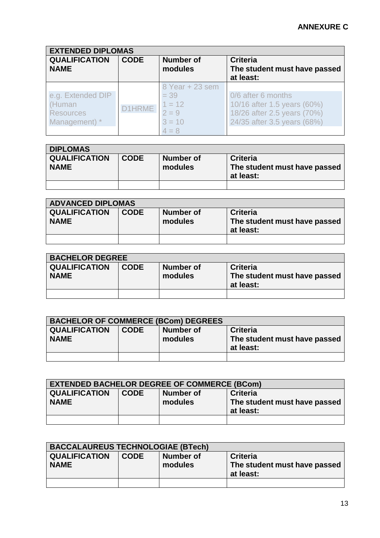| <b>EXTENDED DIPLOMAS</b>                                         |             |                                                                         |                                                                                                                 |  |
|------------------------------------------------------------------|-------------|-------------------------------------------------------------------------|-----------------------------------------------------------------------------------------------------------------|--|
| <b>QUALIFICATION</b><br><b>NAME</b>                              | <b>CODE</b> | <b>Number of</b><br>modules                                             | <b>Criteria</b><br>The student must have passed<br>at least:                                                    |  |
| e.g. Extended DIP<br>(Human<br><b>Resources</b><br>Management) * | 1HRME       | 8 Year + 23 sem<br>$= 39$<br>$1 = 12$<br>$2 = 9$<br>$3 = 10$<br>$4 = 8$ | 0/6 after 6 months<br>10/16 after 1.5 years (60%)<br>18/26 after 2.5 years (70%)<br>24/35 after 3.5 years (68%) |  |

| <b>DIPLOMAS</b>                     |             |                      |                                                              |  |
|-------------------------------------|-------------|----------------------|--------------------------------------------------------------|--|
| <b>QUALIFICATION</b><br><b>NAME</b> | <b>CODE</b> | Number of<br>modules | <b>Criteria</b><br>The student must have passed<br>at least: |  |
|                                     |             |                      |                                                              |  |

| <b>ADVANCED DIPLOMAS</b>            |             |                      |                                                              |  |
|-------------------------------------|-------------|----------------------|--------------------------------------------------------------|--|
| <b>QUALIFICATION</b><br><b>NAME</b> | <b>CODE</b> | Number of<br>modules | <b>Criteria</b><br>The student must have passed<br>at least: |  |
|                                     |             |                      |                                                              |  |

| <b>BACHELOR DEGREE</b>              |             |                      |                                                       |  |
|-------------------------------------|-------------|----------------------|-------------------------------------------------------|--|
| <b>QUALIFICATION</b><br><b>NAME</b> | <b>CODE</b> | Number of<br>modules | Criteria<br>The student must have passed<br>at least: |  |
|                                     |             |                      |                                                       |  |

| <b>BACHELOR OF COMMERCE (BCom) DEGREES</b> |             |           |                              |  |
|--------------------------------------------|-------------|-----------|------------------------------|--|
| <b>QUALIFICATION</b>                       | <b>CODE</b> | Number of | Criteria                     |  |
| <b>NAME</b>                                |             | modules   | The student must have passed |  |
|                                            |             |           | at least:                    |  |
|                                            |             |           |                              |  |

| <b>EXTENDED BACHELOR DEGREE OF COMMERCE (BCom)</b> |             |                      |                                                              |  |
|----------------------------------------------------|-------------|----------------------|--------------------------------------------------------------|--|
| <b>QUALIFICATION</b><br><b>NAME</b>                | <b>CODE</b> | Number of<br>modules | <b>Criteria</b><br>The student must have passed<br>at least: |  |
|                                                    |             |                      |                                                              |  |

| <b>BACCALAUREUS TECHNOLOGIAE (BTech)</b> |             |                      |                                                              |
|------------------------------------------|-------------|----------------------|--------------------------------------------------------------|
| <b>QUALIFICATION</b><br><b>NAME</b>      | <b>CODE</b> | Number of<br>modules | <b>Criteria</b><br>The student must have passed<br>at least: |
|                                          |             |                      |                                                              |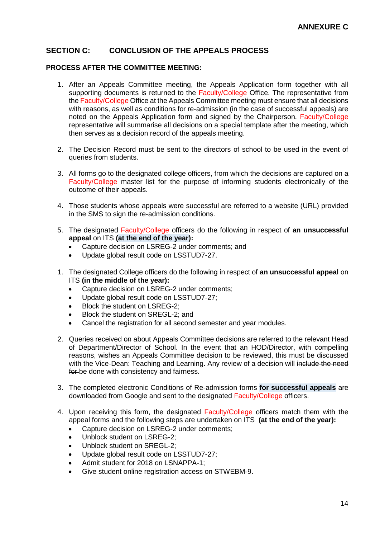## <span id="page-13-0"></span>**SECTION C: CONCLUSION OF THE APPEALS PROCESS**

#### <span id="page-13-1"></span>**PROCESS AFTER THE COMMITTEE MEETING:**

- 1. After an Appeals Committee meeting, the Appeals Application form together with all supporting documents is returned to the Faculty/College Office. The representative from the Faculty/College Office at the Appeals Committee meeting must ensure that all decisions with reasons, as well as conditions for re-admission (in the case of successful appeals) are noted on the Appeals Application form and signed by the Chairperson. Faculty/College representative will summarise all decisions on a special template after the meeting, which then serves as a decision record of the appeals meeting.
- 2. The Decision Record must be sent to the directors of school to be used in the event of queries from students.
- 3. All forms go to the designated college officers, from which the decisions are captured on a Faculty/College master list for the purpose of informing students electronically of the outcome of their appeals.
- 4. Those students whose appeals were successful are referred to a website (URL) provided in the SMS to sign the re-admission conditions.
- 5. The designated Faculty/College officers do the following in respect of **an unsuccessful appeal** on ITS **(at the end of the year):**
	- Capture decision on LSREG-2 under comments; and
	- Update global result code on LSSTUD7-27.
- 1. The designated College officers do the following in respect of **an unsuccessful appeal** on ITS **(in the middle of the year):**
	- Capture decision on LSREG-2 under comments;
	- Update global result code on LSSTUD7-27;
	- Block the student on LSREG-2;
	- Block the student on SREGL-2; and
	- Cancel the registration for all second semester and year modules.
- 2. Queries received on about Appeals Committee decisions are referred to the relevant Head of Department/Director of School. In the event that an HOD/Director, with compelling reasons, wishes an Appeals Committee decision to be reviewed, this must be discussed with the Vice-Dean: Teaching and Learning. Any review of a decision will include the need for be done with consistency and fairness.
- 3. The completed electronic Conditions of Re-admission forms **for successful appeals** are downloaded from Google and sent to the designated Faculty/College officers.
- 4. Upon receiving this form, the designated Faculty/College officers match them with the appeal forms and the following steps are undertaken on ITS **(at the end of the year):**
	- Capture decision on LSREG-2 under comments;
	- Unblock student on LSREG-2;
	- Unblock student on SREGL-2;
	- Update global result code on LSSTUD7-27;
	- Admit student for 2018 on LSNAPPA-1;
	- Give student online registration access on STWEBM-9.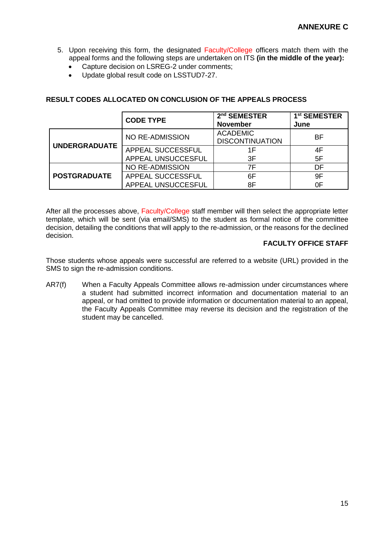- 5. Upon receiving this form, the designated Faculty/College officers match them with the appeal forms and the following steps are undertaken on ITS **(in the middle of the year):**
	- Capture decision on LSREG-2 under comments;
	- Update global result code on LSSTUD7-27.

# <span id="page-14-0"></span>**RESULT CODES ALLOCATED ON CONCLUSION OF THE APPEALS PROCESS**

|                      | <b>CODE TYPE</b>       | 2 <sup>nd</sup> SEMESTER<br><b>November</b> | 1 <sup>st</sup> SEMESTER<br>June |
|----------------------|------------------------|---------------------------------------------|----------------------------------|
|                      | NO RE-ADMISSION        | <b>ACADEMIC</b><br><b>DISCONTINUATION</b>   | BF                               |
| <b>UNDERGRADUATE</b> | APPEAL SUCCESSFUL      | 1F                                          | 4F                               |
|                      | APPEAL UNSUCCESFUL     | 3F                                          | 5F                               |
|                      | <b>NO RE-ADMISSION</b> | 7F                                          | DF                               |
| <b>POSTGRADUATE</b>  | APPEAL SUCCESSFUL      | 6F                                          | 9F                               |
|                      | APPEAL UNSUCCESFUL     | 8F                                          | 0F                               |

After all the processes above, Faculty/College staff member will then select the appropriate letter template, which will be sent (via email/SMS) to the student as formal notice of the committee decision, detailing the conditions that will apply to the re-admission, or the reasons for the declined decision.

# **FACULTY OFFICE STAFF**

Those students whose appeals were successful are referred to a website (URL) provided in the SMS to sign the re-admission conditions.

AR7(f) When a Faculty Appeals Committee allows re-admission under circumstances where a student had submitted incorrect information and documentation material to an appeal, or had omitted to provide information or documentation material to an appeal, the Faculty Appeals Committee may reverse its decision and the registration of the student may be cancelled.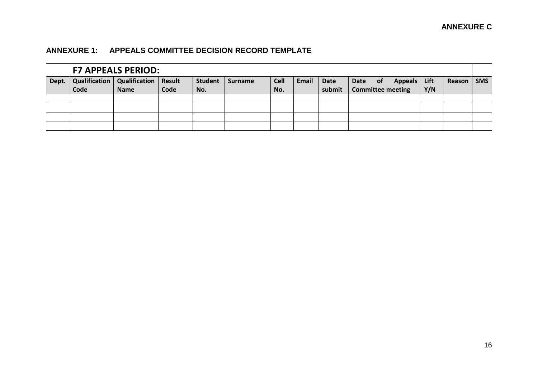# **ANNEXURE 1: APPEALS COMMITTEE DECISION RECORD TEMPLATE**

<span id="page-15-0"></span>

|       | <b>F7 APPEALS PERIOD:</b> |                                        |      |                |                |             |       |        |      |           |                          |     |        |            |
|-------|---------------------------|----------------------------------------|------|----------------|----------------|-------------|-------|--------|------|-----------|--------------------------|-----|--------|------------|
| Dept. |                           | Qualification   Qualification   Result |      | <b>Student</b> | <b>Surname</b> | <b>Cell</b> | Email | Date   | Date | <b>of</b> | Appeals Lift             |     | Reason | <b>SMS</b> |
|       | Code                      | <b>Name</b>                            | Code | No.            |                | No.         |       | submit |      |           | <b>Committee meeting</b> | Y/N |        |            |
|       |                           |                                        |      |                |                |             |       |        |      |           |                          |     |        |            |
|       |                           |                                        |      |                |                |             |       |        |      |           |                          |     |        |            |
|       |                           |                                        |      |                |                |             |       |        |      |           |                          |     |        |            |
|       |                           |                                        |      |                |                |             |       |        |      |           |                          |     |        |            |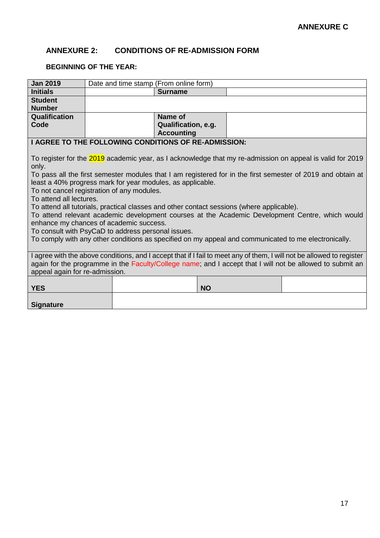# <span id="page-16-0"></span>**ANNEXURE 2: CONDITIONS OF RE-ADMISSION FORM**

# <span id="page-16-1"></span>**BEGINNING OF THE YEAR:**

| <b>Jan 2019</b>                | Date and time stamp (From online form)                     |                                                                                                      |                                                                                                                       |
|--------------------------------|------------------------------------------------------------|------------------------------------------------------------------------------------------------------|-----------------------------------------------------------------------------------------------------------------------|
| <b>Initials</b>                |                                                            | <b>Surname</b>                                                                                       |                                                                                                                       |
| <b>Student</b>                 |                                                            |                                                                                                      |                                                                                                                       |
| <b>Number</b>                  |                                                            |                                                                                                      |                                                                                                                       |
| Qualification                  |                                                            | Name of                                                                                              |                                                                                                                       |
| Code                           |                                                            | Qualification, e.g.                                                                                  |                                                                                                                       |
|                                |                                                            | <b>Accounting</b>                                                                                    |                                                                                                                       |
|                                |                                                            | I AGREE TO THE FOLLOWING CONDITIONS OF RE-ADMISSION:                                                 |                                                                                                                       |
|                                |                                                            |                                                                                                      |                                                                                                                       |
|                                |                                                            |                                                                                                      | To register for the 2019 academic year, as I acknowledge that my re-admission on appeal is valid for 2019             |
| only.                          |                                                            |                                                                                                      |                                                                                                                       |
|                                |                                                            |                                                                                                      | To pass all the first semester modules that I am registered for in the first semester of 2019 and obtain at           |
|                                | least a 40% progress mark for year modules, as applicable. |                                                                                                      |                                                                                                                       |
|                                | To not cancel registration of any modules.                 |                                                                                                      |                                                                                                                       |
| To attend all lectures.        |                                                            |                                                                                                      |                                                                                                                       |
|                                |                                                            | To attend all tutorials, practical classes and other contact sessions (where applicable).            |                                                                                                                       |
|                                |                                                            |                                                                                                      | To attend relevant academic development courses at the Academic Development Centre, which would                       |
|                                | enhance my chances of academic success.                    |                                                                                                      |                                                                                                                       |
|                                | To consult with PsyCaD to address personal issues.         |                                                                                                      |                                                                                                                       |
|                                |                                                            | To comply with any other conditions as specified on my appeal and communicated to me electronically. |                                                                                                                       |
|                                |                                                            |                                                                                                      |                                                                                                                       |
|                                |                                                            |                                                                                                      | I agree with the above conditions, and I accept that if I fail to meet any of them, I will not be allowed to register |
|                                |                                                            |                                                                                                      | again for the programme in the Faculty/College name; and I accept that I will not be allowed to submit an             |
| appeal again for re-admission. |                                                            |                                                                                                      |                                                                                                                       |
|                                |                                                            |                                                                                                      |                                                                                                                       |
| <b>YES</b>                     |                                                            | <b>NO</b>                                                                                            |                                                                                                                       |
|                                |                                                            |                                                                                                      |                                                                                                                       |
| <b>Signature</b>               |                                                            |                                                                                                      |                                                                                                                       |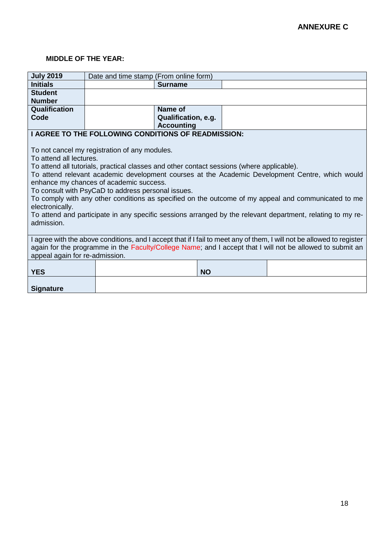## <span id="page-17-0"></span>**MIDDLE OF THE YEAR:**

| <b>Initials</b><br><b>Surname</b><br><b>Student</b><br><b>Number</b>                                                  |  |  |  |  |
|-----------------------------------------------------------------------------------------------------------------------|--|--|--|--|
|                                                                                                                       |  |  |  |  |
|                                                                                                                       |  |  |  |  |
|                                                                                                                       |  |  |  |  |
| Qualification<br>Name of                                                                                              |  |  |  |  |
| Code<br>Qualification, e.g.                                                                                           |  |  |  |  |
| <b>Accounting</b>                                                                                                     |  |  |  |  |
| <b>I AGREE TO THE FOLLOWING CONDITIONS OF READMISSION:</b>                                                            |  |  |  |  |
|                                                                                                                       |  |  |  |  |
| To not cancel my registration of any modules.                                                                         |  |  |  |  |
| To attend all lectures.                                                                                               |  |  |  |  |
| To attend all tutorials, practical classes and other contact sessions (where applicable).                             |  |  |  |  |
| To attend relevant academic development courses at the Academic Development Centre, which would                       |  |  |  |  |
| enhance my chances of academic success.                                                                               |  |  |  |  |
| To consult with PsyCaD to address personal issues.                                                                    |  |  |  |  |
| To comply with any other conditions as specified on the outcome of my appeal and communicated to me                   |  |  |  |  |
| electronically.                                                                                                       |  |  |  |  |
| To attend and participate in any specific sessions arranged by the relevant department, relating to my re-            |  |  |  |  |
| admission.                                                                                                            |  |  |  |  |
|                                                                                                                       |  |  |  |  |
| I agree with the above conditions, and I accept that if I fail to meet any of them, I will not be allowed to register |  |  |  |  |
| again for the programme in the Faculty/College Name; and I accept that I will not be allowed to submit an             |  |  |  |  |
| appeal again for re-admission.                                                                                        |  |  |  |  |
|                                                                                                                       |  |  |  |  |
| <b>YES</b><br><b>NO</b>                                                                                               |  |  |  |  |
|                                                                                                                       |  |  |  |  |
| <b>Signature</b>                                                                                                      |  |  |  |  |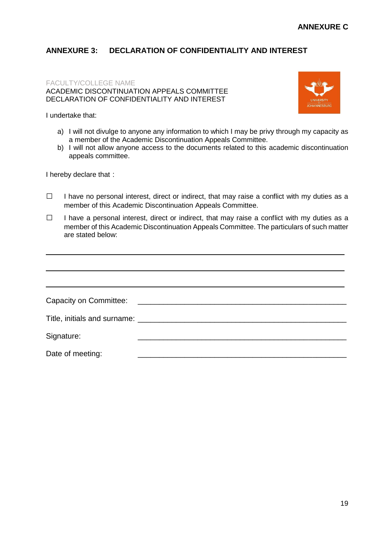# <span id="page-18-0"></span>**ANNEXURE 3: DECLARATION OF CONFIDENTIALITY AND INTEREST**

#### FACULTY/COLLEGE NAME ACADEMIC DISCONTINUATION APPEALS COMMITTEE DECLARATION OF CONFIDENTIALITY AND INTEREST



I undertake that:

- a) I will not divulge to anyone any information to which I may be privy through my capacity as a member of the Academic Discontinuation Appeals Committee.
- b) I will not allow anyone access to the documents related to this academic discontinuation appeals committee.

I hereby declare that:

- □ I have no personal interest, direct or indirect, that may raise a conflict with my duties as a member of this Academic Discontinuation Appeals Committee.
- □ I have a personal interest, direct or indirect, that may raise a conflict with my duties as a member of this Academic Discontinuation Appeals Committee. The particulars of such matter are stated below:

| Signature:       |  |
|------------------|--|
| Date of meeting: |  |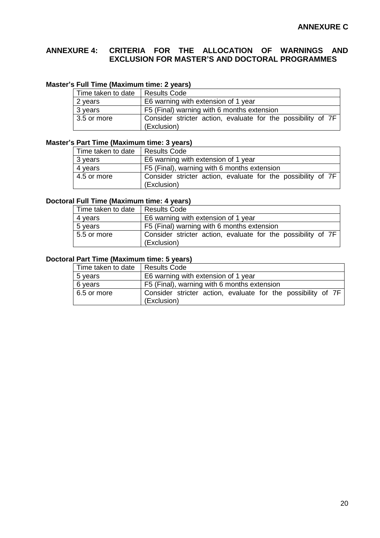# <span id="page-19-0"></span>**ANNEXURE 4: CRITERIA FOR THE ALLOCATION OF WARNINGS AND EXCLUSION FOR MASTER'S AND DOCTORAL PROGRAMMES**

## **Master's Full Time (Maximum time: 2 years)**

| Time taken to date | Results Code                                                 |
|--------------------|--------------------------------------------------------------|
| 2 years            | E6 warning with extension of 1 year                          |
| 3 years            | F5 (Final) warning with 6 months extension                   |
| $3.5$ or more      | Consider stricter action, evaluate for the possibility of 7F |
|                    | (Exclusion)                                                  |

#### **Master's Part Time (Maximum time: 3 years)**

| Results Code                                                                |
|-----------------------------------------------------------------------------|
| E6 warning with extension of 1 year                                         |
| F5 (Final), warning with 6 months extension                                 |
| Consider stricter action, evaluate for the possibility of 7F<br>(Exclusion) |
|                                                                             |

#### **Doctoral Full Time (Maximum time: 4 years)**

| Time taken to date | Results Code                                                                |
|--------------------|-----------------------------------------------------------------------------|
| 4 years            | E6 warning with extension of 1 year                                         |
| 5 years            | F5 (Final) warning with 6 months extension                                  |
| 5.5 or more        | Consider stricter action, evaluate for the possibility of 7F<br>(Exclusion) |

# **Doctoral Part Time (Maximum time: 5 years)**

| Time taken to date | <b>Results Code</b>                                                         |
|--------------------|-----------------------------------------------------------------------------|
| 5 years            | E6 warning with extension of 1 year                                         |
| 6 years            | F5 (Final), warning with 6 months extension                                 |
| 6.5 or more        | Consider stricter action, evaluate for the possibility of 7F<br>(Exclusion) |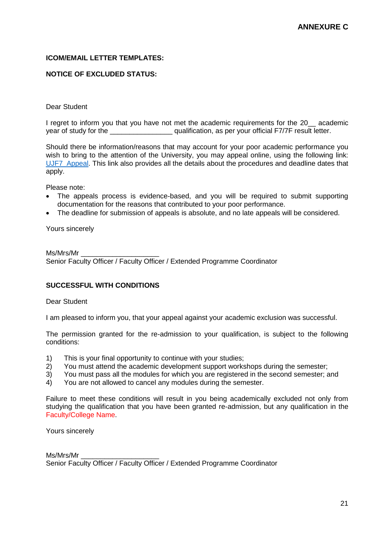#### <span id="page-20-0"></span>**ICOM/EMAIL LETTER TEMPLATES:**

#### **NOTICE OF EXCLUDED STATUS:**

#### Dear Student

I regret to inform you that you have not met the academic requirements for the 20\_\_ academic year of study for the  $q$  qualification, as per your official F7/7F result letter.

Should there be information/reasons that may account for your poor academic performance you wish to bring to the attention of the University, you may appeal online, using the following link: [UJF7\\_Appeal.](https://www.uj.ac.za/studyatUJ/Pages/Student-Application-form-to-appeal-against-academic-exclusion---F7.aspx) This link also provides all the details about the procedures and deadline dates that apply.

Please note:

- The appeals process is evidence-based, and you will be required to submit supporting documentation for the reasons that contributed to your poor performance.
- The deadline for submission of appeals is absolute, and no late appeals will be considered.

Yours sincerely

Ms/Mrs/Mr \_\_\_\_\_\_\_\_\_\_\_\_\_\_\_\_\_\_\_\_ Senior Faculty Officer / Faculty Officer / Extended Programme Coordinator

#### **SUCCESSFUL WITH CONDITIONS**

Dear Student

I am pleased to inform you, that your appeal against your academic exclusion was successful.

The permission granted for the re-admission to your qualification, is subject to the following conditions:

- 1) This is your final opportunity to continue with your studies;
- 2) You must attend the academic development support workshops during the semester;
- 3) You must pass all the modules for which you are registered in the second semester; and
- 4) You are not allowed to cancel any modules during the semester.

Failure to meet these conditions will result in you being academically excluded not only from studying the qualification that you have been granted re-admission, but any qualification in the Faculty/College Name.

Yours sincerely

Ms/Mrs/Mr Senior Faculty Officer / Faculty Officer / Extended Programme Coordinator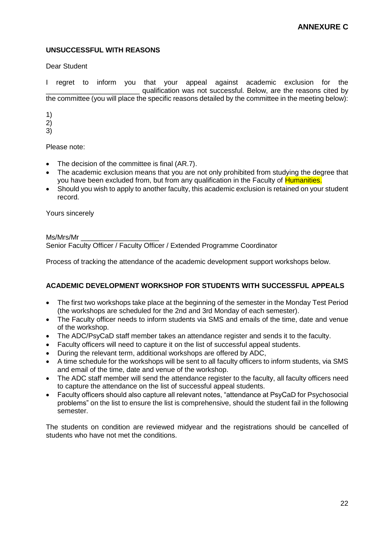## **UNSUCCESSFUL WITH REASONS**

Dear Student

I regret to inform you that your appeal against academic exclusion for the qualification was not successful. Below, are the reasons cited by the committee (you will place the specific reasons detailed by the committee in the meeting below):

1)

2)

3)

Please note:

- The decision of the committee is final (AR.7).
- The academic exclusion means that you are not only prohibited from studying the degree that you have been excluded from, but from any qualification in the Faculty of Humanities.
- Should you wish to apply to another faculty, this academic exclusion is retained on your student record.

Yours sincerely

Ms/Mrs/Mr

Senior Faculty Officer / Faculty Officer / Extended Programme Coordinator

Process of tracking the attendance of the academic development support workshops below.

## **ACADEMIC DEVELOPMENT WORKSHOP FOR STUDENTS WITH SUCCESSFUL APPEALS**

- The first two workshops take place at the beginning of the semester in the Monday Test Period (the workshops are scheduled for the 2nd and 3rd Monday of each semester).
- The Faculty officer needs to inform students via SMS and emails of the time, date and venue of the workshop.
- The ADC/PsyCaD staff member takes an attendance register and sends it to the faculty.
- Faculty officers will need to capture it on the list of successful appeal students.
- During the relevant term, additional workshops are offered by ADC,
- A time schedule for the workshops will be sent to all faculty officers to inform students, via SMS and email of the time, date and venue of the workshop.
- The ADC staff member will send the attendance register to the faculty, all faculty officers need to capture the attendance on the list of successful appeal students.
- Faculty officers should also capture all relevant notes, "attendance at PsyCaD for Psychosocial problems" on the list to ensure the list is comprehensive, should the student fail in the following semester.

The students on condition are reviewed midyear and the registrations should be cancelled of students who have not met the conditions.